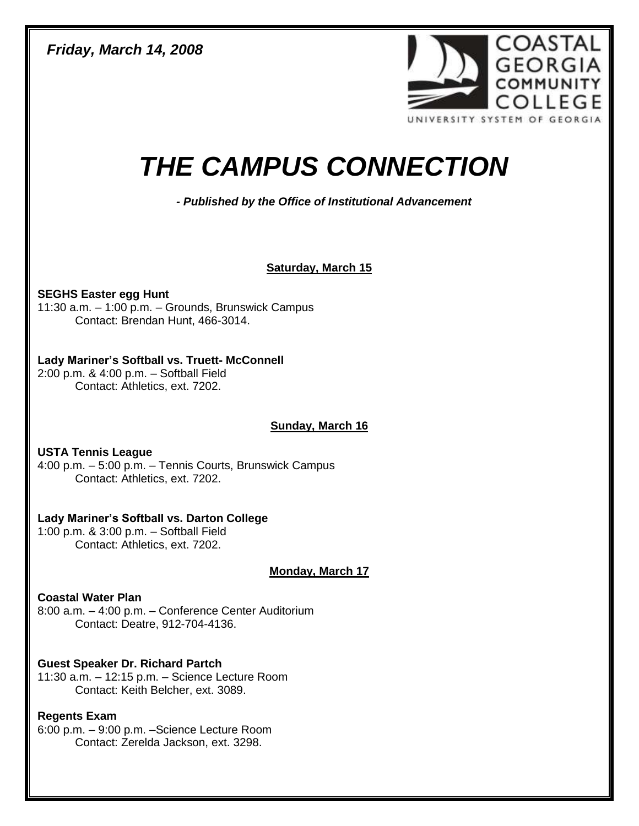*Friday, March 14, 2008* 



# *THE CAMPUS CONNECTION*

*- Published by the Office of Institutional Advancement* 

#### **Saturday, March 15**

**SEGHS Easter egg Hunt** 11:30 a.m. – 1:00 p.m. – Grounds, Brunswick Campus Contact: Brendan Hunt, 466-3014.

#### **Lady Mariner's Softball vs. Truett- McConnell**

2:00 p.m. & 4:00 p.m. – Softball Field Contact: Athletics, ext. 7202.

# **Sunday, March 16**

**USTA Tennis League** 4:00 p.m. – 5:00 p.m. – Tennis Courts, Brunswick Campus Contact: Athletics, ext. 7202.

# **Lady Mariner's Softball vs. Darton College**

1:00 p.m. & 3:00 p.m. – Softball Field Contact: Athletics, ext. 7202.

**Monday, March 17**

# **Coastal Water Plan**

8:00 a.m. – 4:00 p.m. – Conference Center Auditorium Contact: Deatre, 912-704-4136.

# **Guest Speaker Dr. Richard Partch**

11:30 a.m. – 12:15 p.m. – Science Lecture Room Contact: Keith Belcher, ext. 3089.

# **Regents Exam**

6:00 p.m. – 9:00 p.m. –Science Lecture Room Contact: Zerelda Jackson, ext. 3298.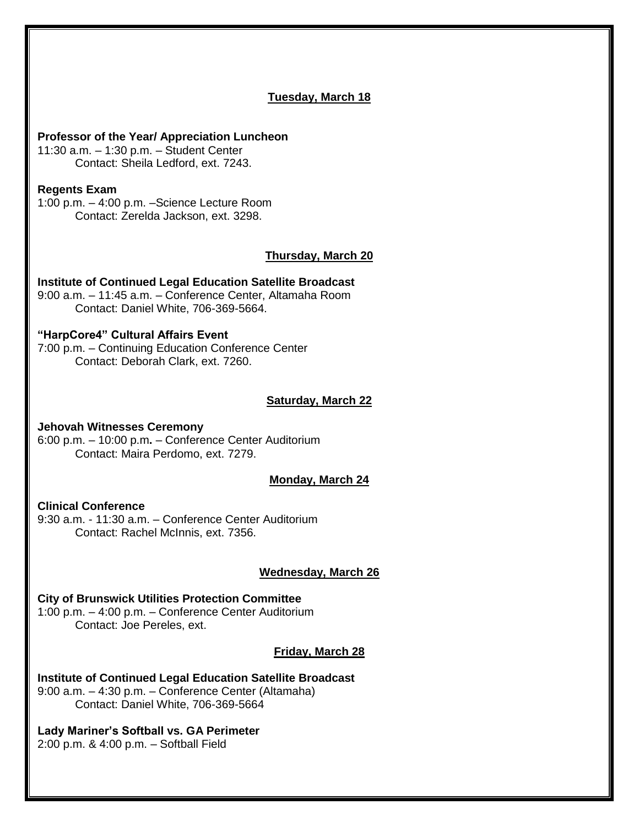# **Tuesday, March 18 Professor of the Year/ Appreciation Luncheon** 11:30 a.m. – 1:30 p.m. – Student Center Contact: Sheila Ledford, ext. 7243. **Regents Exam** 1:00 p.m. – 4:00 p.m. –Science Lecture Room Contact: Zerelda Jackson, ext. 3298. **Thursday, March 20 Institute of Continued Legal Education Satellite Broadcast** 9:00 a.m. – 11:45 a.m. – Conference Center, Altamaha Room Contact: Daniel White, 706-369-5664. **"HarpCore4" Cultural Affairs Event** 7:00 p.m. – Continuing Education Conference Center Contact: Deborah Clark, ext. 7260. **Saturday, March 22 Jehovah Witnesses Ceremony** 6:00 p.m. – 10:00 p.m**.** – Conference Center Auditorium Contact: Maira Perdomo, ext. 7279. **Monday, March 24 Clinical Conference** 9:30 a.m. - 11:30 a.m. – Conference Center Auditorium Contact: Rachel McInnis, ext. 7356. **Wednesday, March 26 City of Brunswick Utilities Protection Committee** 1:00 p.m. – 4:00 p.m. – Conference Center Auditorium Contact: Joe Pereles, ext. **Friday, March 28 Institute of Continued Legal Education Satellite Broadcast** 9:00 a.m. – 4:30 p.m. – Conference Center (Altamaha) Contact: Daniel White, 706-369-5664 **Lady Mariner's Softball vs. GA Perimeter**

2:00 p.m. & 4:00 p.m. – Softball Field